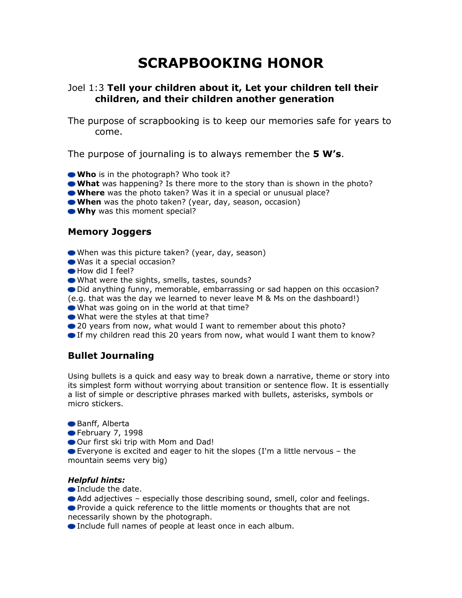# **SCRAPBOOKING HONOR**

### Joel 1:3 **Tell your children about it, Let your children tell their children, and their children another generation**

The purpose of scrapbooking is to keep our memories safe for years to come.

The purpose of journaling is to always remember the **5 W's**.

- **Who** is in the photograph? Who took it?
- **What** was happening? Is there more to the story than is shown in the photo?
- **Where** was the photo taken? Was it in a special or unusual place?
- **When** was the photo taken? (year, day, season, occasion)
- **Why** was this moment special?

#### **Memory Joggers**

- When was this picture taken? (year, day, season)
- Was it a special occasion?
- How did I feel?
- What were the sights, smells, tastes, sounds?
- Did anything funny, memorable, embarrassing or sad happen on this occasion?
- (e.g. that was the day we learned to never leave M & Ms on the dashboard!)
- What was going on in the world at that time?
- What were the styles at that time?
- 20 years from now, what would I want to remember about this photo?
- If my children read this 20 years from now, what would I want them to know?

## **Bullet Journaling**

Using bullets is a quick and easy way to break down a narrative, theme or story into its simplest form without worrying about transition or sentence flow. It is essentially a list of simple or descriptive phrases marked with bullets, asterisks, symbols or micro stickers.

- Banff, Alberta
- February 7, 1998
- Our first ski trip with Mom and Dad!
- Everyone is excited and eager to hit the slopes (I'm a little nervous the mountain seems very big)

#### *Helpful hints:*

- Include the date.
- Add adjectives especially those describing sound, smell, color and feelings. **•** Provide a quick reference to the little moments or thoughts that are not necessarily shown by the photograph.
- Include full names of people at least once in each album.